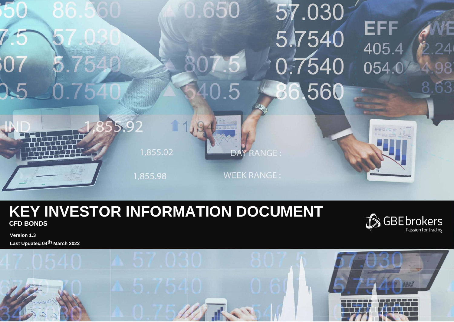

# **KEY INVESTOR INFORMATION DOCUMENT CFD BONDS**



**Version 1.3 Last Updated 04th March 2022**

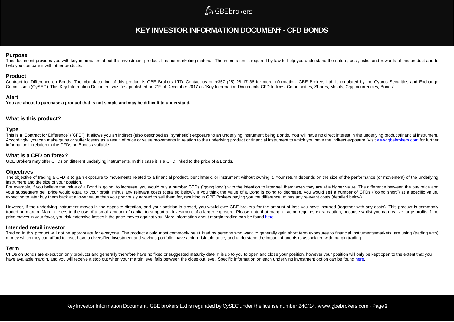## **SGBE brokers**

### **KEY INVESTOR INFORMATION DOCUMENT - CFD BONDS**

#### **Purpose**

This document provides you with key information about this investment product. It is not marketing material. The information is required by law to help you understand the nature, cost, risks, and rewards of this product an help you compare it with other products.

#### **Product**

Contract for Difference on Bonds. The Manufacturing of this product is GBE Brokers LTD. Contact us on +357 (25) 28 17 36 for more information. GBE Brokers Ltd. Is regulated by the Cyprus Securities and Exchange Commission (CySEC). This Key Information Document was first published on 21<sup>st</sup> of December 2017 as "Key Information Documents CFD Indices, Commodities, Shares, Metals, Cryptocurrencies, Bonds".

#### **Alert**

**You are about to purchase a product that is not simple and may be difficult to understand.**

#### **What is this product?**

#### **Type**

This is a 'Contract for Difference' ("CFD"). It allows you an indirect (also described as "synthetic") exposure to an underlying instrument being Bonds. You will have no direct interest in the underlying product/financial Accordingly, you can make gains or suffer losses as a result of price or value movements in relation to the underlying product or financial instrument to which you have the indirect exposure. Visit [www.gbebrokers.com](http://www.gbebrokers.com/) for f information in relation to the CFDs on Bonds available.

#### **What is a CFD on forex?**

GBE Brokers may offer CFDs on different underlying instruments. In this case it is a CFD linked to the price of a Bonds.

#### **Objectives**

The objective of trading a CFD is to gain exposure to movements related to a financial product, benchmark, or instrument without owning it. Your return depends on the size of the performance (or movement) of the underlying instrument and the size of your position.

For example, if you believe the value of a Bond is going to increase, you would buy a number CFDs ("going long') with the intention to later sell them when they are at a higher value. The difference between the buy price a your subsequent sell price would equal to your profit, minus any relevant costs (detailed below). If you think the value of a Bond is going to decrease, you would sell a number of CFDs ("going short") at a specific value, expecting to later buy them back at a lower value than you previously agreed to sell them for, resulting in GBE Brokers paying you the difference, minus any relevant costs (detailed below).

However, if the underlying instrument moves in the opposite direction, and your position is closed, you would owe GBE brokers for the amount of loss you have incurred (together with any costs). This product is commonly traded on margin. Margin refers to the use of a small amount of capital to support an investment of a larger exposure. Please note that margin trading requires extra caution, because whilst you can realize large profits if price moves in your favor, you risk extensive losses if the price moves against you. More information about margin trading can be foun[d here.](https://gbebrokers.com/documents/product_specifications.pdf)

#### **Intended retail investor**

Trading in this product will not be appropriate for everyone. The product would most commonly be utilized by persons who want to generally gain short term exposures to financial instruments/markets; are using (trading with money which they can afford to lose; have a diversified investment and savings portfolio; have a high-risk tolerance; and understand the impact of and risks associated with margin trading.

#### **Term**

CFDs on Bonds are execution only products and generally therefore have no fixed or suggested maturity date. It is up to you to open and close your position, however your position will only be kept open to the extent that y have available margin, and you will receive a stop out when your margin level falls between the close out level. Specific information on each underlying investment option can be found [here.](https://gbebrokers.com/documents/product_specifications.pdf)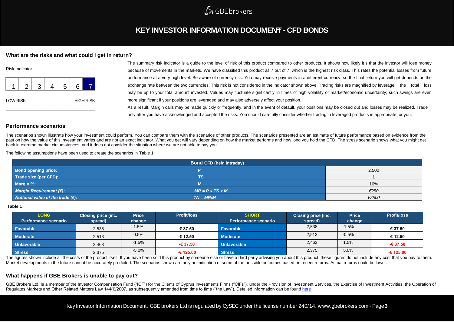

## **KEY INVESTOR INFORMATION DOCUMENT - CFD BONDS**

#### **What are the risks and what could I get in return?**

| <b>Risk Indicator</b> |   |   |  |   |   |                  |
|-----------------------|---|---|--|---|---|------------------|
|                       | 2 | 3 |  | 5 | 6 |                  |
| <b>LOW RISK</b>       |   |   |  |   |   | <b>HIGH RISK</b> |

The summary risk indicator is a guide to the level of risk of this product compared to other products. It shows how likely itis that the investor will lose money because of movements in the markets. We have classified this product as 7 out of 7, which is the highest risk class. This rates the potential losses from future performance at a very high level. Be aware of currency risk. You may receive payments in a different currency, so the final return you will get depends on the exchange rate between the two currencies. This risk is not considered in the indicator shown above. Trading risks are magnified by leverage the total loss may be up to your total amount invested. Values may fluctuate significantly in times of high volatility or market/economic uncertainty; such swings are even more significant if your positions are leveraged and may also adversely affect your position. As a result, Margin calls may be made quickly or frequently, and in the event of default, your positions may be closed out and losses may be realized. Trade

only after you have acknowledged and accepted the risks. You should carefully consider whether trading in leveraged products is appropriate for you.

#### **Performance scenarios**

The scenarios shown illustrate how your investment could perform. You can compare them with the scenarios of other products. The scenarios presented are an estimate of future performance based on evidence from the past on how the value of this investment varies and are not an exact indicator. What you get will vary depending on how the market performs and how long you hold the CFD. The stress scenario shows what you might get back in extreme market circumstances, and it does not consider the situation where we are not able to pay you.

The following assumptions have been used to create the scenarios in Table 1:

| <b>Bond CFD (held intraday)</b>            |                             |       |  |  |
|--------------------------------------------|-----------------------------|-------|--|--|
| <b>Bond opening price:</b>                 |                             | 2,500 |  |  |
| Trade size (per CFD):                      | TS                          |       |  |  |
| Margin %:                                  | M                           | 10%   |  |  |
| Margin Requirement (€):                    | $MR = P \times TS \times M$ | €250  |  |  |
| Notional value of the trade $(\epsilon)$ : | $TN = MR/M$                 | €2500 |  |  |

#### **Table 1**

| <b>LONG</b><br>Performance scenario | <b>Closing price (inc.</b><br>spread) | <b>Price</b><br>change | <b>Profit/loss</b> | <b>SHORT</b><br><b>Performance scenario</b> | <b>Closing price (inc.</b><br>spread) | <b>Price</b><br>change | <b>Profit/loss</b> |
|-------------------------------------|---------------------------------------|------------------------|--------------------|---------------------------------------------|---------------------------------------|------------------------|--------------------|
|                                     |                                       |                        |                    |                                             |                                       |                        |                    |
| Favorable                           | 2,538                                 | $1.5\%$                | € 37.50            | Favorable                                   | 2,538                                 | $-1.5%$                | € 37.50            |
| <b>Moderate</b>                     | 2,513                                 | 0.5%                   | € 12.50            | <b>Moderate</b>                             | 2,513                                 | $-0.5%$                | € 12.50            |
| <b>Unfavorable</b>                  | 2,463                                 | $-1.5%$                | $-637.50$          | <b>Unfavorable</b>                          | 2,463                                 | 1.5%                   | $-637.50$          |
| <b>Stress</b>                       | 2,375                                 | $-5.0%$                | -€ 125.00          | <b>Stress</b>                               | 2,375                                 | 5.0%                   | $-6125.00$         |

The figures shown include all the costs of the product itself. If you have been sold this product by someone else or have a third party advising you about this product, these figures do not include any cost that you pay to Market developments in the future cannot be accurately predicted. The scenarios shown are only an indication of some of the possible outcomes based on recent returns. Actual returns could be lower.

#### **What happens if GBE Brokers is unable to pay out?**

GBE Brokers Ltd. Is a member of the Investor Compensation Fund ("ICF") for the Clients of Cyprus Investments Firms ("CIFs"), under the Provision of Investment Services, the Exercise of Investment Activities, the Operation Regulates Markets and Other Related Matters Law 144(I)/2007, as subsequently amended from time to time ("the Law"). Detailed information can be foun[d here](https://gbebrokers.com/about-gbe-brokers/legal-documentation/)